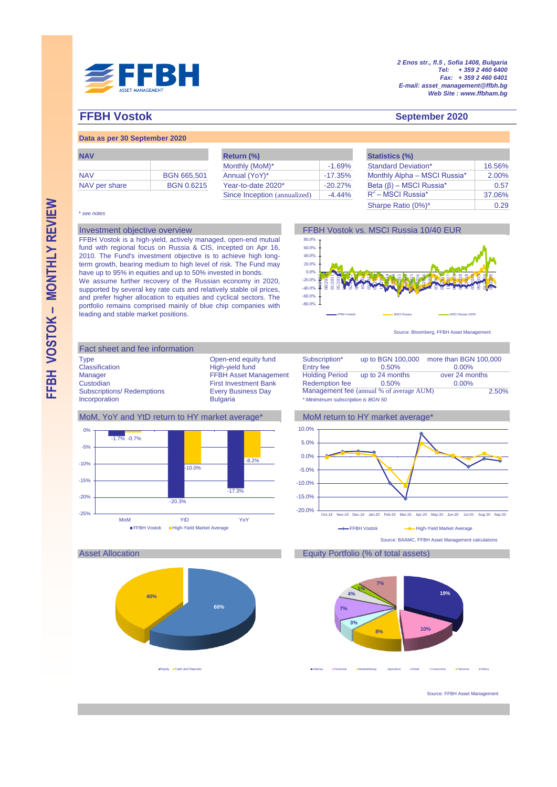

*2 Enos str., fl.5 , Sofia 1408, Bulgaria Tel: + 359 2 460 6400 Fax: + 359 2 460 6401 E-mail: asset\_management@ffbh.bg Web Site : www.ffbham.bg*

# **FFBH Vostok September 2020**

# **Data as per 30 September 2020**

| <b>NAV</b>    |                    |
|---------------|--------------------|
|               |                    |
| <b>NAV</b>    | <b>BGN 665,501</b> |
| NAV per share | <b>BGN 0.6215</b>  |

| <b>NAV</b>    |                    | Return (%)                   |            | <b>Statistics (%)</b>         |  |
|---------------|--------------------|------------------------------|------------|-------------------------------|--|
|               |                    | Monthly (MoM)*               | $-1.69%$   | <b>Standard Deviation*</b>    |  |
| <b>NAV</b>    | <b>BGN 665,501</b> | Annual (YoY)*                | -17.35%    | Monthly Alpha - MSCI Russia*  |  |
| NAV per share | <b>BGN 0.6215</b>  | Year-to-date 2020*           | $-20.27\%$ | Beta $(\beta)$ – MSCI Russia* |  |
|               |                    | Since Inception (annualized) | $-4.44\%$  | $R^2$ – MSCI Russia $^*$      |  |

| <b>Statistics (%)</b>         |        |
|-------------------------------|--------|
| <b>Standard Deviation*</b>    | 16.56% |
| Monthly Alpha - MSCI Russia*  | 2.00%  |
| Beta $(\beta)$ – MSCI Russia* | 0.57   |
| $R^2$ – MSCI Russia*          | 37.06% |
| Sharpe Ratio (0%)*            | 0.29   |

### \* *see notes*

FFBH Vostok is a high-yield, actively managed, open-end mutual fund with regional focus on Russia & CIS, incepted on Apr 16, 2010. The Fund's investment objective is to achieve high longterm growth, bearing medium to high level of risk. The Fund may have up to 95% in equities and up to 50% invested in bonds. We assume further recovery of the Russian economy in 2020, supported by several key rate cuts and relatively stable oil prices, and prefer higher allocation to equities and cyclical sectors. The portfolio remains comprised mainly of blue chip companies with leading and stable market positions.



Source: Bloomberg, FFBH Asset Management

# Fact sheet and fee information Type **Open-end equity fund** Subscription\* up to BGN 100,000 more than BGN 100,000<br>Classification **Figh-yield fund** Entry fee 0.50% 0.00% Classification **Entry fee**<br>
Manager **Manager Classification**<br>
FEBH Asset Management Holding Period Manager FFBH Asset Management Tolding Period up to 24 months over 24 months<br>Custodian First Investment Bank Redemption fee 0.50% 0.00% Custodian First Investment Bank<br>
Subscriptions/ Redemptions<br>
First Investment Bank<br>
Every Business Day Subscriptions/ Redemptions Every Business Day Management fee (annual % of average AUM)<br>Incorporation in Bulgaria **Example 2019** Minimimum subscription is BGN 50

## MoM, YoY and YtD return to HY market average\* MoM return to HY market average\*



# $0.00%$ 2.50% 0.50% 0.00%

Incorporation Bulgaria *\* Minimimum subscription is BGN 50*





# Asset Allocation Equity Portfolio (% of total assets)



Oil&Gas Financials Metals&Mining Agriculture Retail Construction Telecoms Others

Source: FFBH Asset Management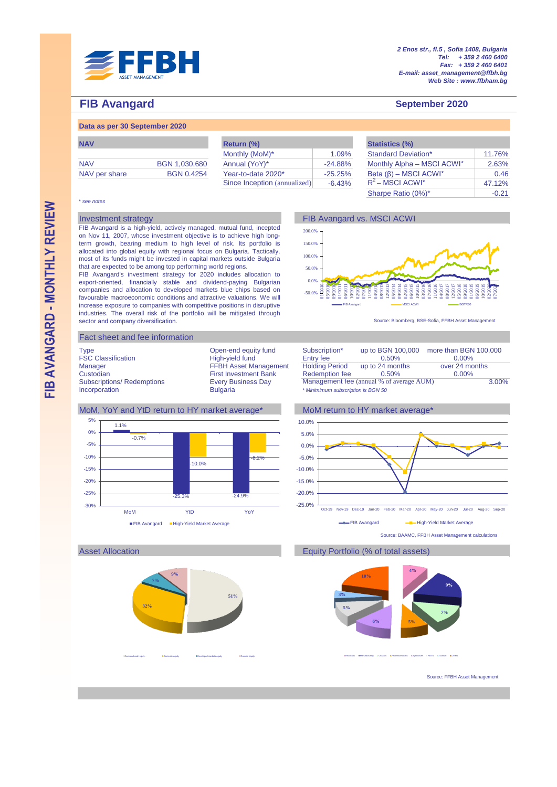

# **FIB Avangard September 2020**

# **Data as per 30 September 2020**

| <b>NAV</b>    |                   |
|---------------|-------------------|
| <b>NAV</b>    | BGN 1,030,680     |
| NAV per share | <b>BGN 0.4254</b> |

| <b>NAV</b>    |                   | Return (%)                   |            | <b>Statistics (%)</b>       |  |
|---------------|-------------------|------------------------------|------------|-----------------------------|--|
|               |                   | Monthly (MoM)*               | 1.09%      | <b>Standard Deviation*</b>  |  |
| <b>NAV</b>    | BGN 1,030,680     | Annual (YoY)*                | $-24.88\%$ | Monthly Alpha - MSCI ACWI   |  |
| NAV per share | <b>BGN 0.4254</b> | Year-to-date 2020*           | $-25.25%$  | Beta $(\beta)$ – MSCI ACWI* |  |
|               |                   | Since Inception (annualized) | $-6.43%$   | $R^2$ – MSCI ACWI*          |  |
|               |                   |                              |            |                             |  |

-50.0%  $0.0^{(1)}$ 50.0% 100.0% 150.0% 200.0%

01/2010 05/2010 09/2010 01/2011 06/2011 10/2011 02/2012 07/2012 11/201 04/2013 08/2013 12/2013 05/2014 09/2014 02/2015 06/2015 10/2015 03/2016  $\overline{5}$  $201$  $\bar{\varepsilon}$  $\overline{8}$ 12/2017 05/2018 09/2018  $\Xi$ 06/2019 10/2019 02/2020 07/2020

|           | <b>Statistics (%)</b>       |         |
|-----------|-----------------------------|---------|
| 1.09%     | <b>Standard Deviation*</b>  | 11.76%  |
| $-24.88%$ | Monthly Alpha - MSCI ACWI*  | 2.63%   |
| $-25.25%$ | Beta $(\beta)$ – MSCI ACWI* | 0.46    |
| $-6.43%$  | $R^2$ – MSCI ACWI*          | 47.12%  |
|           | Sharpe Ratio (0%)*          | $-0.21$ |

### \* *see notes*

# Investment strategy **FIB Avangard vs. MSCI ACWI FIB Avangard vs. MSCI ACWI**

FIB Avangard is a high-yield, actively managed, mutual fund, incepted on Nov 11, 2007, whose investment objective is to achieve high longterm growth, bearing medium to high level of risk. Its portfolio is allocated into global equity with regional focus on Bulgaria. Tactically, most of its funds might be invested in capital markets outside Bulgaria that are expected to be among top performing world regions.

FIB Avangard's investment strategy for 2020 includes allocation to export-oriented, financially stable and dividend-paying Bulgarian companies and allocation to developed markets blue chips based on favourable macroeconomic conditions and attractive valuations. We will increase exposure to companies with competitive positions in disruptive industries. The overall risk of the portfolio will be mitigated through sector and company diversification.

## Fact sheet and fee information

**32%**

**7%**

**9%**

Cash and cash equiv. **Demestic equity Developed markets equity** Developed markets equity

FSC Classification **Entry fee High-yield fund** Entry fee Custodian First Investment Bank Redemption fee<br>
Subscriptions/Redemptions Every Business Day Management fee

**51%**



FIB Avangard **BGTR30 BGTR30 BGTR30 BGTR30 BGTR30** 

Management fee (annual % of average AUM) Incorporation Bulgaria *\* Minimimum subscription is BGN 50* 3.00%







Source: BAAMC, FFBH Asset Management calculations

# Asset Allocation **Equity Portfolio** (% of total assets)



Financials Manufacturing Oil&Gas Pharmaceuticals Agriculture REITs Tourism Others

Source: FFBH Asset Management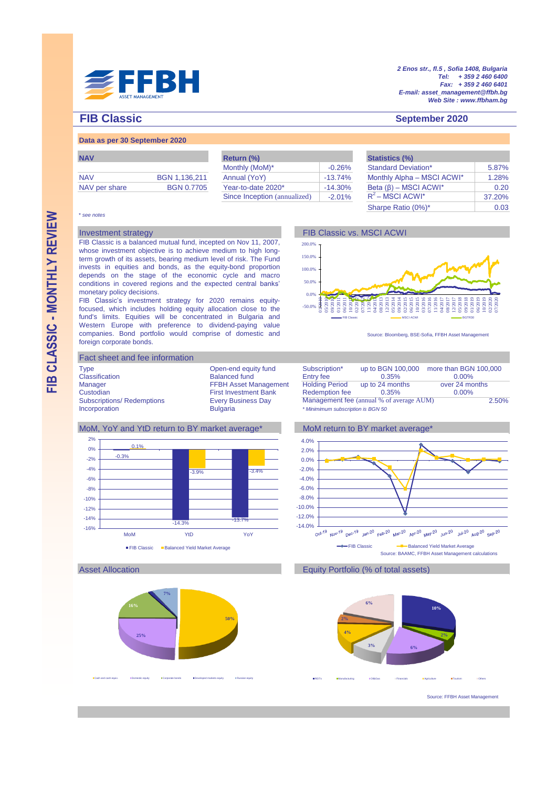

*2 Enos str., fl.5 , Sofia 1408, Bulgaria Tel: + 359 2 460 6400 Fax: + 359 2 460 6401 E-mail: asset\_management@ffbh.bg Web Site : www.ffbham.bg*

# **FIB Classic September 2020**

# **Data as per 30 September 2020**

| <b>NAV</b>    | BGN 1,136,211     |
|---------------|-------------------|
| NAV per share | <b>BGN 0.7705</b> |

| <b>NAV</b>    |                   | Return (%)                   |            | <b>Statistics (%)</b>       |  |
|---------------|-------------------|------------------------------|------------|-----------------------------|--|
|               |                   | Monthly (MoM)*               | $-0.26%$   | <b>Standard Deviation*</b>  |  |
| <b>NAV</b>    | BGN 1.136.211     | Annual (YoY)                 | $-13.74%$  | Monthly Alpha - MSCI ACWI*  |  |
| NAV per share | <b>BGN 0.7705</b> | Year-to-date 2020*           | $-14.30\%$ | Beta $(\beta)$ – MSCI ACWI* |  |
|               |                   | Since Inception (annualized) | $-2.01%$   | $R^2$ – MSCI ACWI*          |  |

| <b>Statistics (%)</b>       |        |
|-----------------------------|--------|
| <b>Standard Deviation*</b>  | 5.87%  |
| Monthly Alpha - MSCI ACWI*  | 1.28%  |
| Beta $(\beta)$ – MSCI ACWI* | 0.20   |
| $R^2$ – MSCI ACWI*          | 37.20% |
| Sharpe Ratio (0%)*          | 0.03   |

### \* *see notes*

FIB Classic is a balanced mutual fund, incepted on Nov 11, 2007, whose investment objective is to achieve medium to high longterm growth of its assets, bearing medium level of risk. The Fund invests in equities and bonds, as the equity-bond proportion depends on the stage of the economic cycle and macro conditions in covered regions and the expected central banks' monetary policy decisions.

FIB Classic's investment strategy for 2020 remains equityfocused, which includes holding equity allocation close to the fund's limits. Equities will be concentrated in Bulgaria and Western Europe with preference to dividend-paying value companies. Bond portfolio would comprise of domestic and foreign corporate bonds.





Source: Bloomberg, BSE-Sofia, FFBH Asset Management

## Fact sheet and fee information

Type Open-end equity fund<br>Classification bGN 100,000 more than Balanced fund Subscriptions/ Redemptions Every Business Day<br>
Incorporation **Bulgaria**  $Incorporation$ 

Balanced fund Manager FFBH Asset Management Custodian<br>First Investment Bank First Investment Bank

| Subscription*<br>Entry fee                 | up to BGN 100,000<br>0.35% | more than BGN 100,000<br>$0.00\%$ |
|--------------------------------------------|----------------------------|-----------------------------------|
| <b>Holding Period</b>                      | up to 24 months            | over 24 months                    |
| <b>Redemption fee</b>                      | 0.35%                      | 0.00%                             |
| Management fee (annual % of average AUM)   |                            | 2.50%                             |
| $*$ Minimization outpoorination in DOM EQ. |                            |                                   |

# MoM, YoY and YtD return to BY market average\* MoM return to BY market average\*



4.0%











Source: FFBH Asset Management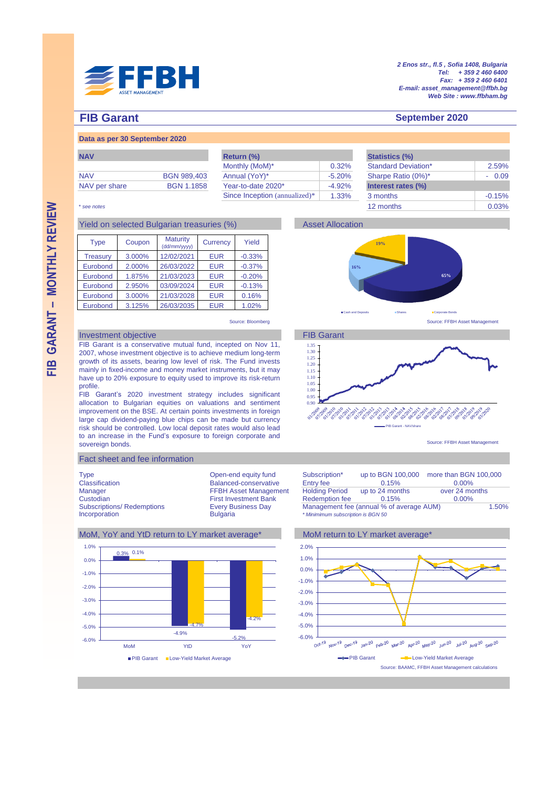

*2 Enos str., fl.5 , Sofia 1408, Bulgaria Tel: + 359 2 460 6400 Fax: + 359 2 460 6401 E-mail: asset\_management@ffbh.bg Web Site : www.ffbham.bg*

**65%**

0.03%

**September 2020**

# **FIB Garant**

# **Data as per 30 September 2020**

| <b>INAV</b>   |                    |
|---------------|--------------------|
| <b>NAV</b>    | <b>BGN 989,403</b> |
| NAV per share | <b>BGN 1.1858</b>  |

| <b>NAV</b>    |                    | Return (%)                    |           | <b>Statistics (%)</b>      |          |
|---------------|--------------------|-------------------------------|-----------|----------------------------|----------|
|               |                    | Monthly (MoM)*                | 0.32%     | <b>Standard Deviation*</b> | 2.59%    |
| <b>NAV</b>    | <b>BGN 989,403</b> | Annual (YoY)*                 | $-5.20%$  | Sharpe Ratio (0%)*         | $-0.09$  |
| NAV per share | <b>BGN 1.1858</b>  | Year-to-date 2020*            | $-4.92\%$ | Interest rates (%)         |          |
|               |                    | Since Inception (annualized)* | 1.33%     | 3 months                   | $-0.15%$ |
|               |                    |                               |           |                            |          |

**16%**

**19%**

## \* *see notes* 12 months

# Yield on selected Bulgarian treasuries (%) Asset Allocation

| <b>Type</b>     | Coupon | <b>Maturity</b><br>(dd/mm/yyyy) | Currency   | Yield    |
|-----------------|--------|---------------------------------|------------|----------|
| <b>Treasury</b> | 3.000% | 12/02/2021                      | <b>EUR</b> | $-0.33%$ |
| Eurobond        | 2.000% | 26/03/2022                      | <b>EUR</b> | $-0.37%$ |
| Eurobond        | 1.875% | 21/03/2023                      | <b>EUR</b> | $-0.20%$ |
| Eurobond        | 2.950% | 03/09/2024                      | <b>EUR</b> | $-0.13%$ |
| Eurobond        | 3.000% | 21/03/2028                      | <b>EUR</b> | 0.16%    |
| Eurobond        | 3.125% | 26/03/2035                      | <b>EUR</b> | 1.02%    |

Source: Bloomberg Source: FFBH Asset Management

# Investment objective **FIB Garant**

FIB Garant is a conservative mutual fund, incepted on Nov 11, 2007, whose investment objective is to achieve medium long-term growth of its assets, bearing low level of risk. The Fund invests mainly in fixed-income and money market instruments, but it may have up to 20% exposure to equity used to improve its risk-return profile.

FIB Garant's 2020 investment strategy includes significant allocation to Bulgarian equities on valuations and sentiment improvement on the BSE. At certain points investments in foreign large cap dividend-paying blue chips can be made but currency risk should be controlled. Low local deposit rates would also lead to an increase in the Fund's exposure to foreign corporate and sovereign bonds.

# Fact sheet and fee information

Classification Balanced-conservative Entry fee<br>
Manager FEBH Asset Management Holding Period Custodian First Investment Bank<br>
Subscriptions/ Redemptions Fevery Business Day



Cash and Deposits Shares Shares Shares Shares Shares Shares Shares Shares Shares Shares Shares Shares Shares Shares

Source: FFBH Asset Management







Source: BAAMC, FFBH Asset Management calculations PIB Garant **-B-Low-Yield Market Average** 

FIB GARANT - MONTHLY REVIEW **– MONTHLY REVIEW**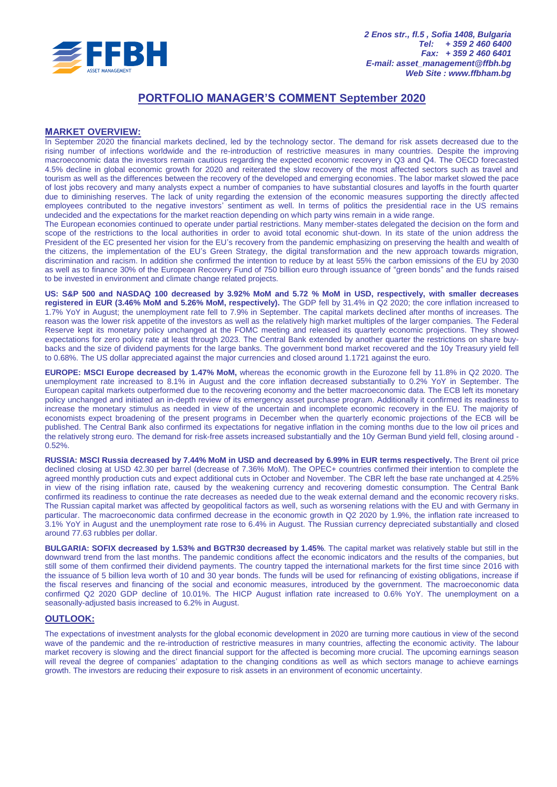

# **PORTFOLIO MANAGER'S COMMENT September 2020**

# **МARKET OVERVIEW:**

In September 2020 the financial markets declined, led by the technology sector. The demand for risk assets decreased due to the rising number of infections worldwide and the re-introduction of restrictive measures in many countries. Despite the improving macroeconomic data the investors remain cautious regarding the expected economic recovery in Q3 and Q4. The OECD forecasted 4.5% decline in global economic growth for 2020 and reiterated the slow recovery of the most affected sectors such as travel and tourism as well as the differences between the recovery of the developed and emerging economies. The labor market slowed the pace of lost jobs recovery and many analysts expect a number of companies to have substantial closures and layoffs in the fourth quarter due to diminishing reserves. The lack of unity regarding the extension of the economic measures supporting the directly affected employees contributed to the negative investors' sentiment as well. In terms of politics the presidential race in the US remains undecided and the expectations for the market reaction depending on which party wins remain in a wide range.

The European economies continued to operate under partial restrictions. Many member-states delegated the decision on the form and scope of the restrictions to the local authorities in order to avoid total economic shut-down. In its state of the union address the President of the EC presented her vision for the EU's recovery from the pandemic emphasizing on preserving the health and wealth of the citizens, the implementation of the EU's Green Strategy, the digital transformation and the new approach towards migration, discrimination and racism. In addition she confirmed the intention to reduce by at least 55% the carbon emissions of the EU by 2030 as well as to finance 30% of the European Recovery Fund of 750 billion euro through issuance of "green bonds" and the funds raised to be invested in environment and climate change related projects.

**US: S&P 500 and NASDAQ 100 decreased by 3.92% MoM and 5.72 % MoM in USD, respectively, with smaller decreases registered in EUR (3.46% MoM and 5.26% MoM, respectively).** The GDP fell by 31.4% in Q2 2020; the core inflation increased to 1.7% YoY in August; the unemployment rate fell to 7.9% in September. The capital markets declined after months of increases. The reason was the lower risk appetite of the investors as well as the relatively high market multiples of the larger companies. The Federal Reserve kept its monetary policy unchanged at the FOMC meeting and released its quarterly economic projections. They showed expectations for zero policy rate at least through 2023. The Central Bank extended by another quarter the restrictions on share buybacks and the size of dividend payments for the large banks. The government bond market recovered and the 10y Treasury yield fell to 0.68%. The US dollar appreciated against the major currencies and closed around 1.1721 against the euro.

**EUROPE: MSCI Europe decreased by 1.47% MoM,** whereas the economic growth in the Eurozone fell by 11.8% in Q2 2020. The unemployment rate increased to 8.1% in August and the core inflation decreased substantially to 0.2% YoY in September. The European capital markets outperformed due to the recovering economy and the better macroeconomic data. The ECB left its monetary policy unchanged and initiated an in-depth review of its emergency asset purchase program. Additionally it confirmed its readiness to increase the monetary stimulus as needed in view of the uncertain and incomplete economic recovery in the EU. The majority of economists expect broadening of the present programs in December when the quarterly economic projections of the ECB will be published. The Central Bank also confirmed its expectations for negative inflation in the coming months due to the low oil prices and the relatively strong euro. The demand for risk-free assets increased substantially and the 10y German Bund yield fell, closing around - 0.52%.

**RUSSIA: MSCI Russia decreased by 7.44% MoM in USD and decreased by 6.99% in EUR terms respectively.** The Brent oil price declined closing at USD 42.30 per barrel (decrease of 7.36% MoM). The OPEC+ countries confirmed their intention to complete the agreed monthly production cuts and expect additional cuts in October and November. The CBR left the base rate unchanged at 4.25% in view of the rising inflation rate, caused by the weakening currency and recovering domestic consumption. The Central Bank confirmed its readiness to continue the rate decreases as needed due to the weak external demand and the economic recovery risks. The Russian capital market was affected by geopolitical factors as well, such as worsening relations with the EU and with Germany in particular. The macroeconomic data confirmed decrease in the economic growth in Q2 2020 by 1.9%, the inflation rate increased to 3.1% YoY in August and the unemployment rate rose to 6.4% in August. The Russian currency depreciated substantially and closed around 77.63 rubbles per dollar.

**BULGARIA: SOFIX decreased by 1.53% and BGTR30 decreased by 1.45%**. The capital market was relatively stable but still in the downward trend from the last months. The pandemic conditions affect the economic indicators and the results of the companies, but still some of them confirmed their dividend payments. The country tapped the international markets for the first time since 2016 with the issuance of 5 billion leva worth of 10 and 30 year bonds. The funds will be used for refinancing of existing obligations, increase if the fiscal reserves and financing of the social and economic measures, introduced by the government. The macroeconomic data confirmed Q2 2020 GDP decline of 10.01%. The HICP August inflation rate increased to 0.6% YoY. The unemployment on a seasonally-adjusted basis increased to 6.2% in August.

# **OUTLOOK:**

The expectations of investment analysts for the global economic development in 2020 are turning more cautious in view of the second wave of the pandemic and the re-introduction of restrictive measures in many countries, affecting the economic activity. The labour market recovery is slowing and the direct financial support for the affected is becoming more crucial. The upcoming earnings season will reveal the degree of companies' adaptation to the changing conditions as well as which sectors manage to achieve earnings growth. The investors are reducing their exposure to risk assets in an environment of economic uncertainty.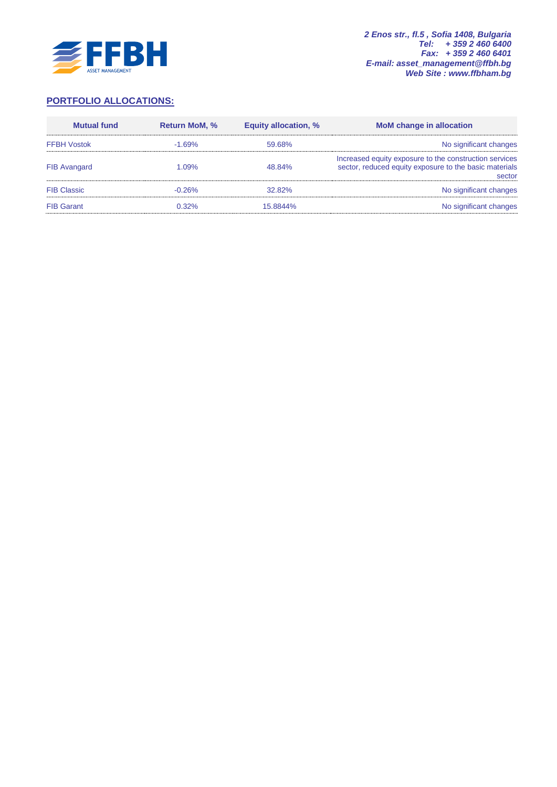

# **PORTFOLIO ALLOCATIONS:**

| <b>Mutual fund</b>  | <b>Return MoM, %</b> | <b>Equity allocation, %</b> | <b>MoM</b> change in allocation                                                                                            |
|---------------------|----------------------|-----------------------------|----------------------------------------------------------------------------------------------------------------------------|
| <b>FFBH Vostok</b>  | $-1.69%$             | 59.68%                      | No significant changes                                                                                                     |
| <b>FIB Avangard</b> | 1.09%                | 48.84%                      | Increased equity exposure to the construction services<br>sector, reduced equity exposure to the basic materials<br>sector |
| <b>FIB Classic</b>  | $-0.26%$             | 32.82%                      | No significant changes                                                                                                     |
| <b>FIB Garant</b>   | $0.32\%$             | 15.8844%                    | No significant changes                                                                                                     |